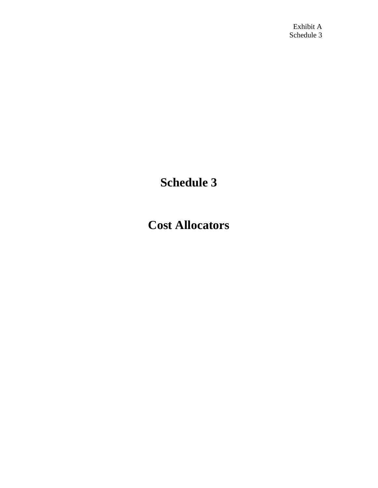## **Schedule 3**

## **Cost Allocators**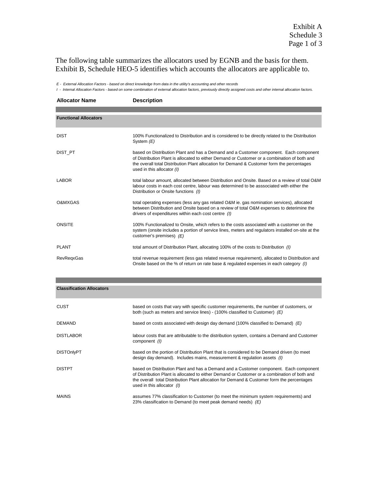The following table summarizes the allocators used by EGNB and the basis for them. Exhibit B, Schedule HEO-5 identifies which accounts the allocators are applicable to.

*E - External Allocation Factors - based on direct knowledge from data in the utility's accounting and other records*

*I - Internal Allocation Factors - based on some combination of external allocation factors, previously directly assigned costs and other internal allocation factors.*

| <b>Allocator Name</b>        | <b>Description</b>                                                                                                                                                                                                                                                                                                |
|------------------------------|-------------------------------------------------------------------------------------------------------------------------------------------------------------------------------------------------------------------------------------------------------------------------------------------------------------------|
|                              |                                                                                                                                                                                                                                                                                                                   |
| <b>Functional Allocators</b> |                                                                                                                                                                                                                                                                                                                   |
| <b>DIST</b>                  | 100% Functionalized to Distribution and is considered to be directly related to the Distribution<br>System $(E)$                                                                                                                                                                                                  |
| DIST PT                      | based on Distribution Plant and has a Demand and a Customer component. Each component<br>of Distribution Plant is allocated to either Demand or Customer or a combination of both and<br>the overall total Distribution Plant allocation for Demand & Customer form the percentages<br>used in this allocator (I) |
| <b>LABOR</b>                 | total labour amount, allocated between Distribution and Onsite. Based on a review of total O&M<br>labour costs in each cost centre, labour was determined to be asssociated with either the<br>Distribution or Onsite functions (I)                                                                               |
| <b>O&amp;MXGAS</b>           | total operating expenses (less any gas related O&M ie. gas nomination services), allocated<br>between Distribution and Onsite based on a review of total O&M expenses to deterimine the<br>drivers of expenditures within each cost centre (1)                                                                    |
| ONSITE                       | 100% Functionalized to Onsite, which refers to the costs associated with a customer on the<br>system (onsite includes a portion of service lines, meters and regulators installed on-site at the<br>customer's premises) (E)                                                                                      |
| <b>PLANT</b>                 | total amount of Distribution Plant, allocating 100% of the costs to Distribution (I)                                                                                                                                                                                                                              |
| <b>RevRegxGas</b>            | total revenue requirement (less gas related revenue requirement), allocated to Distribution and<br>Onsite based on the % of return on rate base & regulated expenses in each category (I)                                                                                                                         |

| CUST              | based on costs that vary with specific customer requirements, the number of customers, or<br>both (such as meters and service lines) - (100% classified to Customer) $(E)$                                                                                                                                        |
|-------------------|-------------------------------------------------------------------------------------------------------------------------------------------------------------------------------------------------------------------------------------------------------------------------------------------------------------------|
| <b>DEMAND</b>     | based on costs associated with design day demand (100% classified to Demand) $(E)$                                                                                                                                                                                                                                |
| <b>DISTLABOR</b>  | labour costs that are attributable to the distribution system, contains a Demand and Customer<br>component (1)                                                                                                                                                                                                    |
| <b>DISTOnlyPT</b> | based on the portion of Distribution Plant that is considered to be Demand driven (to meet<br>design day demand). Includes mains, measurement & regulation assets (I)                                                                                                                                             |
| <b>DISTPT</b>     | based on Distribution Plant and has a Demand and a Customer component. Each component<br>of Distribution Plant is allocated to either Demand or Customer or a combination of both and<br>the overall total Distribution Plant allocation for Demand & Customer form the percentages<br>used in this allocator (I) |
| <b>MAINS</b>      | assumes 77% classification to Customer (to meet the minimum system requirements) and<br>23% classification to Demand (to meet peak demand needs) $(E)$                                                                                                                                                            |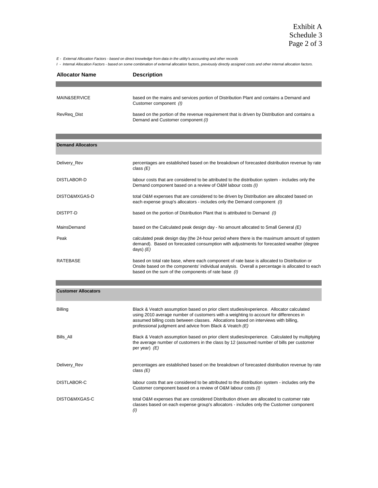Exhibit A Schedule 3 Page 2 of 3

*E - External Allocation Factors - based on direct knowledge from data in the utility's accounting and other records*

*I - Internal Allocation Factors - based on some combination of external allocation factors, previously directly assigned costs and other internal allocation factors.*

| <b>Allocator Name</b> | <b>Description</b>                                                                                                                 |
|-----------------------|------------------------------------------------------------------------------------------------------------------------------------|
|                       |                                                                                                                                    |
| MAIN&SERVICE          | based on the mains and services portion of Distribution Plant and contains a Demand and<br>Customer component (I)                  |
| RevReg Dist           | based on the portion of the revenue requirement that is driven by Distribution and contains a<br>Demand and Customer component (I) |

| <b>Demand Allocators</b> |                                                                                                                                                                                                                                                      |
|--------------------------|------------------------------------------------------------------------------------------------------------------------------------------------------------------------------------------------------------------------------------------------------|
| Delivery Rev             | percentages are established based on the breakdown of forecasted distribution revenue by rate<br>class $(E)$                                                                                                                                         |
| DISTLABOR-D              | labour costs that are considered to be attributed to the distribution system - includes only the<br>Demand component based on a review of O&M labour costs (I)                                                                                       |
| DISTO&MXGAS-D            | total O&M expenses that are considered to be driven by Distribution are allocated based on<br>each expense group's allocators - includes only the Demand component (I)                                                                               |
| DISTPT-D                 | based on the portion of Distribution Plant that is attributed to Demand (1)                                                                                                                                                                          |
| MainsDemand              | based on the Calculated peak design day - No amount allocated to Small General $(E)$                                                                                                                                                                 |
| Peak                     | calculated peak design day (the 24-hour period where there is the maximum amount of system<br>demand). Based on forecasted consumption with adjustments for forecasted weather (degree<br>days) $(E)$                                                |
| RATEBASE                 | based on total rate base, where each component of rate base is allocated to Distribution or<br>Onsite based on the components' individual analysis. Overall a percentage is allocated to each<br>based on the sum of the components of rate base (I) |

| <b>Customer Allocators</b> |                                                                                                                                                                                                                                                                                                                                       |
|----------------------------|---------------------------------------------------------------------------------------------------------------------------------------------------------------------------------------------------------------------------------------------------------------------------------------------------------------------------------------|
| Billing                    | Black & Veatch assumption based on prior client studies/experience. Allocator calculated<br>using 2010 average number of customers with a weighting to account for differences in<br>assumed billing costs between classes. Allocations based on interviews with billing,<br>professional judgment and advice from Black & Veatch (E) |
| Bills All                  | Black & Veatch assumption based on prior client studies/experience. Calculated by multiplying<br>the average number of customers in the class by 12 (assumed number of bills per customer<br>per year) $(E)$                                                                                                                          |
| Delivery Rev               | percentages are established based on the breakdown of forecasted distribution revenue by rate<br>class $(E)$                                                                                                                                                                                                                          |
| DISTI ABOR-C               | labour costs that are considered to be attributed to the distribution system - includes only the<br>Customer component based on a review of O&M labour costs (I)                                                                                                                                                                      |
| DISTO&MXGAS-C              | total O&M expenses that are considered Distribution driven are allocated to customer rate<br>classes based on each expense group's allocators - includes only the Customer component<br>(1)                                                                                                                                           |